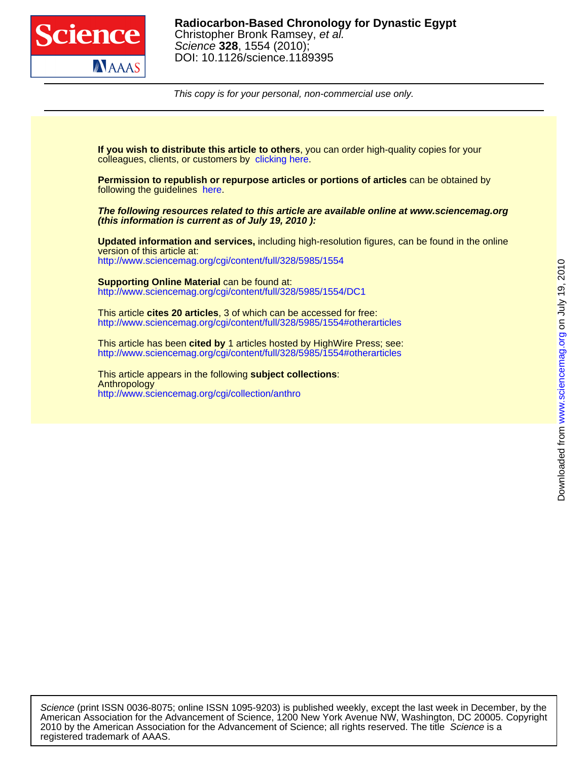

This copy is for your personal, non-commercial use only.

colleagues, clients, or customers by [clicking here.](http://www.sciencemag.org/about/permissions.dtl) **If you wish to distribute this article to others**, you can order high-quality copies for your

following the guidelines [here.](http://www.sciencemag.org/help/about/permissions.dtl) **Permission to republish or repurpose articles or portions of articles** can be obtained by

**(this information is current as of July 19, 2010 ): The following resources related to this article are available online at www.sciencemag.org**

<http://www.sciencemag.org/cgi/content/full/328/5985/1554> version of this article at: **Updated information and services,** including high-resolution figures, can be found in the online

<http://www.sciencemag.org/cgi/content/full/328/5985/1554/DC1> **Supporting Online Material** can be found at:

<http://www.sciencemag.org/cgi/content/full/328/5985/1554#otherarticles> This article **cites 20 articles**, 3 of which can be accessed for free:

<http://www.sciencemag.org/cgi/content/full/328/5985/1554#otherarticles> This article has been **cited by** 1 articles hosted by HighWire Press; see:

<http://www.sciencemag.org/cgi/collection/anthro> Anthropology This article appears in the following **subject collections**: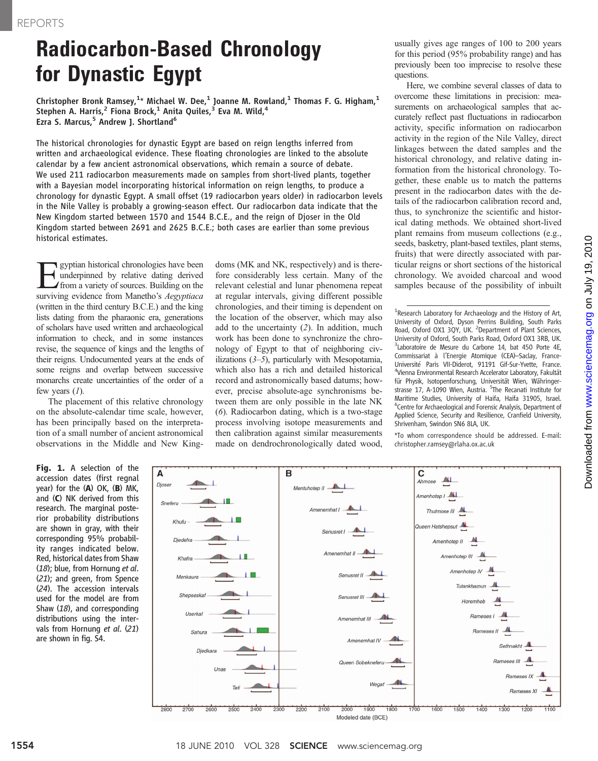## Radiocarbon-Based Chronology for Dynastic Egypt

Christopher Bronk Ramsey, $^{1_\star}$  Michael W. Dee, $^1$  Joanne M. Rowland, $^1$  Thomas F. G. Higham, $^1$ Stephen A. Harris,<sup>2</sup> Fiona Brock,<sup>1</sup> Anita Quiles,<sup>3</sup> Eva M. Wild,<sup>4</sup> Ezra S. Marcus,<sup>5</sup> Andrew J. Shortland<sup>6</sup>

The historical chronologies for dynastic Egypt are based on reign lengths inferred from written and archaeological evidence. These floating chronologies are linked to the absolute calendar by a few ancient astronomical observations, which remain a source of debate. We used 211 radiocarbon measurements made on samples from short-lived plants, together with a Bayesian model incorporating historical information on reign lengths, to produce a chronology for dynastic Egypt. A small offset (19 radiocarbon years older) in radiocarbon levels in the Nile Valley is probably a growing-season effect. Our radiocarbon data indicate that the New Kingdom started between 1570 and 1544 B.C.E., and the reign of Djoser in the Old Kingdom started between 2691 and 2625 B.C.E.; both cases are earlier than some previous historical estimates.

**Example 18** gyptian historical chronologies have been<br>ty underpinned by relative dating derived<br>from a variety of sources. Building on the<br>surviving evidence from Manetho's *Aeovntiaca* underpinned by relative dating derived from a variety of sources. Building on the surviving evidence from Manetho's Aegyptiaca (written in the third century B.C.E.) and the king lists dating from the pharaonic era, generations of scholars have used written and archaeological information to check, and in some instances revise, the sequence of kings and the lengths of their reigns. Undocumented years at the ends of some reigns and overlap between successive monarchs create uncertainties of the order of a few years  $(1)$ .

The placement of this relative chronology on the absolute-calendar time scale, however, has been principally based on the interpretation of a small number of ancient astronomical observations in the Middle and New Kingdoms (MK and NK, respectively) and is therefore considerably less certain. Many of the relevant celestial and lunar phenomena repeat at regular intervals, giving different possible chronologies, and their timing is dependent on the location of the observer, which may also add to the uncertainty (2). In addition, much work has been done to synchronize the chronology of Egypt to that of neighboring civilizations  $(3-5)$ , particularly with Mesopotamia, which also has a rich and detailed historical record and astronomically based datums; however, precise absolute-age synchronisms between them are only possible in the late NK (6). Radiocarbon dating, which is a two-stage process involving isotope measurements and then calibration against similar measurements made on dendrochronologically dated wood,

usually gives age ranges of 100 to 200 years for this period (95% probability range) and has previously been too imprecise to resolve these questions.

Here, we combine several classes of data to overcome these limitations in precision: measurements on archaeological samples that accurately reflect past fluctuations in radiocarbon activity, specific information on radiocarbon activity in the region of the Nile Valley, direct linkages between the dated samples and the historical chronology, and relative dating information from the historical chronology. Together, these enable us to match the patterns present in the radiocarbon dates with the details of the radiocarbon calibration record and, thus, to synchronize the scientific and historical dating methods. We obtained short-lived plant remains from museum collections (e.g., seeds, basketry, plant-based textiles, plant stems, fruits) that were directly associated with particular reigns or short sections of the historical chronology. We avoided charcoal and wood samples because of the possibility of inbuilt

<sup>1</sup>Research Laboratory for Archaeology and the History of Art, University of Oxford, Dyson Perrins Building, South Parks Road, Oxford OX1 3QY, UK. <sup>2</sup> Department of Plant Sciences, University of Oxford, South Parks Road, Oxford OX1 3RB, UK. <sup>3</sup>Laboratoire de Mesure du Carbone 14, bat 450 Porte 4E, Commissariat à l'Energie Atomique (CEA)–Saclay, France-Université Paris VII-Diderot, 91191 Gif-Sur-Yvette, France. 4 Vienna Environmental Research Accelerator Laboratory, Fakultät für Physik, Isotopenforschung, Universität Wien, Währingerstrasse 17, A-1090 Wien, Austria. <sup>5</sup>The Recanati Institute for Maritime Studies, University of Haifa, Haifa 31905, Israel. 6 Centre for Archaeological and Forensic Analysis, Department of Applied Science, Security and Resilience, Cranfield University, Shrivenham, Swindon SN6 8LA, UK.

\*To whom correspondence should be addressed. E-mail: christopher.ramsey@rlaha.ox.ac.uk

Fig. 1. A selection of the accession dates (first regnal year) for the  $(A)$  OK,  $(B)$  MK, and (C) NK derived from this research. The marginal posterior probability distributions are shown in gray, with their corresponding 95% probability ranges indicated below. Red, historical dates from Shaw (18); blue, from Hornung et al. (21); and green, from Spence (24). The accession intervals used for the model are from Shaw (18), and corresponding distributions using the intervals from Hornung et al. (21) are shown in fig. S4.

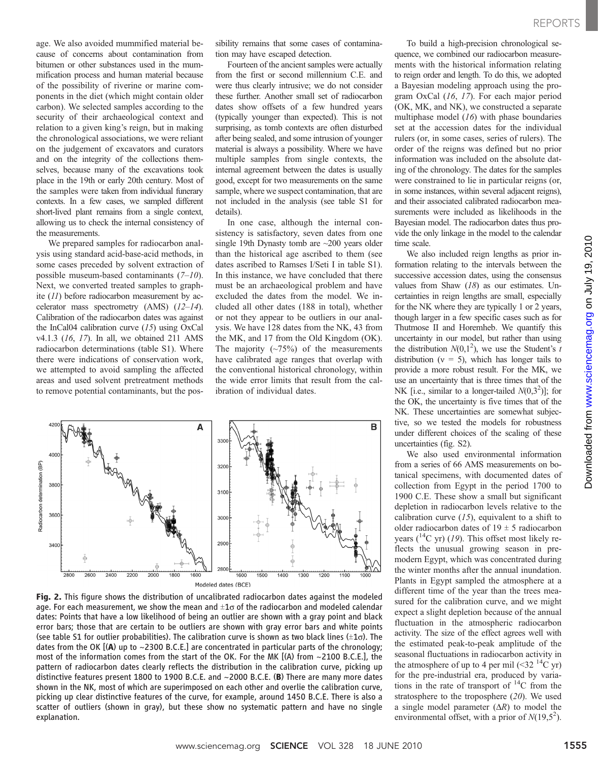age. We also avoided mummified material because of concerns about contamination from bitumen or other substances used in the mummification process and human material because of the possibility of riverine or marine components in the diet (which might contain older carbon). We selected samples according to the security of their archaeological context and relation to a given king's reign, but in making the chronological associations, we were reliant on the judgement of excavators and curators and on the integrity of the collections themselves, because many of the excavations took place in the 19th or early 20th century. Most of the samples were taken from individual funerary contexts. In a few cases, we sampled different short-lived plant remains from a single context, allowing us to check the internal consistency of the measurements.

We prepared samples for radiocarbon analysis using standard acid-base-acid methods, in some cases preceded by solvent extraction of possible museum-based contaminants  $(7-10)$ . Next, we converted treated samples to graphite (11) before radiocarbon measurement by accelerator mass spectrometry  $(AMS)$   $(12-14)$ . Calibration of the radiocarbon dates was against the InCal04 calibration curve (15) using OxCal v4.1.3 (16, 17). In all, we obtained 211 AMS radiocarbon determinations (table S1). Where there were indications of conservation work, we attempted to avoid sampling the affected areas and used solvent pretreatment methods to remove potential contaminants, but the possibility remains that some cases of contamination may have escaped detection.

Fourteen of the ancient samples were actually from the first or second millennium C.E. and were thus clearly intrusive; we do not consider these further. Another small set of radiocarbon dates show offsets of a few hundred years (typically younger than expected). This is not surprising, as tomb contexts are often disturbed after being sealed, and some intrusion of younger material is always a possibility. Where we have multiple samples from single contexts, the internal agreement between the dates is usually good, except for two measurements on the same sample, where we suspect contamination, that are not included in the analysis (see table S1 for details).

In one case, although the internal consistency is satisfactory, seven dates from one single 19th Dynasty tomb are ~200 years older than the historical age ascribed to them (see dates ascribed to Ramses I/Seti I in table S1). In this instance, we have concluded that there must be an archaeological problem and have excluded the dates from the model. We included all other dates (188 in total), whether or not they appear to be outliers in our analysis. We have 128 dates from the NK, 43 from the MK, and 17 from the Old Kingdom (OK). The majority  $(\sim 75\%)$  of the measurements have calibrated age ranges that overlap with the conventional historical chronology, within the wide error limits that result from the calibration of individual dates.



Fig. 2. This figure shows the distribution of uncalibrated radiocarbon dates against the modeled age. For each measurement, we show the mean and  $\pm 1\sigma$  of the radiocarbon and modeled calendar dates: Points that have a low likelihood of being an outlier are shown with a gray point and black error bars; those that are certain to be outliers are shown with gray error bars and white points (see table S1 for outlier probabilities). The calibration curve is shown as two black lines  $(\pm 1\sigma)$ . The dates from the OK  $[(A)$  up to ~2300 B.C.E.] are concentrated in particular parts of the chronology; most of the information comes from the start of the OK. For the MK  $[(A)$  from  $\sim$ 2100 B.C.E.], the pattern of radiocarbon dates clearly reflects the distribution in the calibration curve, picking up distinctive features present 1800 to 1900 B.C.E. and ~2000 B.C.E. (B) There are many more dates shown in the NK, most of which are superimposed on each other and overlie the calibration curve, picking up clear distinctive features of the curve, for example, around 1450 B.C.E. There is also a scatter of outliers (shown in gray), but these show no systematic pattern and have no single explanation.

To build a high-precision chronological sequence, we combined our radiocarbon measurements with the historical information relating to reign order and length. To do this, we adopted a Bayesian modeling approach using the program OxCal (16, 17). For each major period (OK, MK, and NK), we constructed a separate multiphase model  $(16)$  with phase boundaries set at the accession dates for the individual rulers (or, in some cases, series of rulers). The order of the reigns was defined but no prior information was included on the absolute dating of the chronology. The dates for the samples were constrained to lie in particular reigns (or, in some instances, within several adjacent reigns), and their associated calibrated radiocarbon measurements were included as likelihoods in the Bayesian model. The radiocarbon dates thus provide the only linkage in the model to the calendar time scale.

We also included reign lengths as prior information relating to the intervals between the successive accession dates, using the consensus values from Shaw  $(18)$  as our estimates. Uncertainties in reign lengths are small, especially for the NK where they are typically 1 or 2 years, though larger in a few specific cases such as for Thutmose II and Horemheb. We quantify this uncertainty in our model, but rather than using the distribution  $N(0,1^2)$ , we use the Student's to distribution  $(v = 5)$ , which has longer tails to distribution ( $v = 5$ ), which has longer tails to provide a more robust result. For the MK, we use an uncertainty that is three times that of the NK [i.e., similar to a longer-tailed  $N(0,3^2)$ ]; for<br>the OK the uncertainty is five times that of the the OK, the uncertainty is five times that of the NK. These uncertainties are somewhat subjective, so we tested the models for robustness under different choices of the scaling of these uncertainties (fig. S2).

We also used environmental information from a series of 66 AMS measurements on botanical specimens, with documented dates of collection from Egypt in the period 1700 to 1900 C.E. These show a small but significant depletion in radiocarbon levels relative to the calibration curve  $(15)$ , equivalent to a shift to older radiocarbon dates of  $19 \pm 5$  radiocarbon years  $(^{14}C$  yr) (19). This offset most likely reflects the unusual growing season in premodern Egypt, which was concentrated during the winter months after the annual inundation. Plants in Egypt sampled the atmosphere at a different time of the year than the trees measured for the calibration curve, and we might expect a slight depletion because of the annual fluctuation in the atmospheric radiocarbon activity. The size of the effect agrees well with the estimated peak-to-peak amplitude of the seasonal fluctuations in radiocarbon activity in the atmosphere of up to 4 per mil  $(\leq 32^{14}C$  yr) for the pre-industrial era, produced by variations in the rate of transport of  $^{14}$ C from the stratosphere to the troposphere  $(20)$ . We used a single model parameter  $(\Delta R)$  to model the environmental offset, with a prior of  $N(19,5^2)$ .

www.sciencemag.orgon July 19, 2010

Downloaded from www.sciencemag.org on July 19, 2010

Downloaded from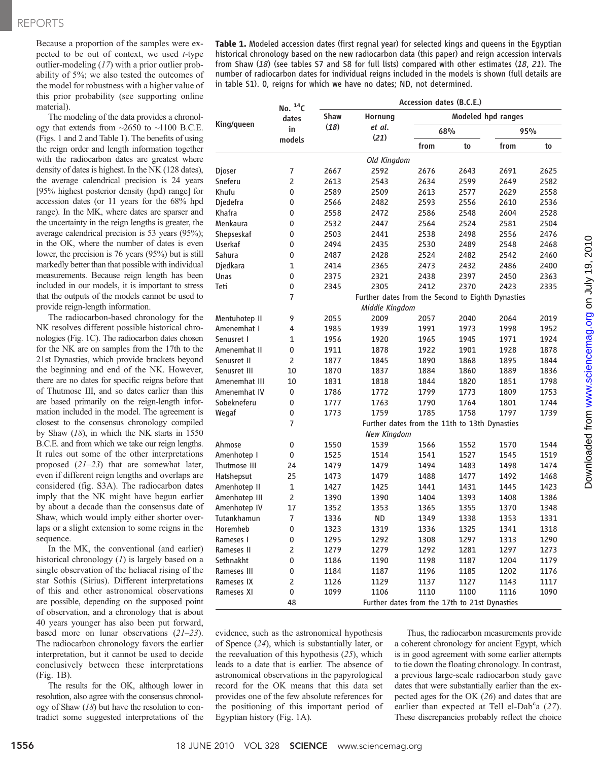Because a proportion of the samples were expected to be out of context, we used  $t$ -type outlier-modeling (17) with a prior outlier probability of 5%; we also tested the outcomes of the model for robustness with a higher value of this prior probability (see supporting online material).

The modeling of the data provides a chronology that extends from  $\sim$ 2650 to  $\sim$ 1100 B.C.E. (Figs. 1 and 2 and Table 1). The benefits of using the reign order and length information together with the radiocarbon dates are greatest where density of dates is highest. In the NK (128 dates), the average calendrical precision is 24 years [95% highest posterior density (hpd) range] for accession dates (or 11 years for the 68% hpd range). In the MK, where dates are sparser and the uncertainty in the reign lengths is greater, the average calendrical precision is 53 years (95%); in the OK, where the number of dates is even lower, the precision is 76 years (95%) but is still markedly better than that possible with individual measurements. Because reign length has been included in our models, it is important to stress that the outputs of the models cannot be used to provide reign-length information.

The radiocarbon-based chronology for the NK resolves different possible historical chronologies (Fig. 1C). The radiocarbon dates chosen for the NK are on samples from the 17th to the 21st Dynasties, which provide brackets beyond the beginning and end of the NK. However, there are no dates for specific reigns before that of Thutmose III, and so dates earlier than this are based primarily on the reign-length information included in the model. The agreement is closest to the consensus chronology compiled by Shaw (18), in which the NK starts in 1550 B.C.E. and from which we take our reign lengths. It rules out some of the other interpretations proposed (21–23) that are somewhat later, even if different reign lengths and overlaps are considered (fig. S3A). The radiocarbon dates imply that the NK might have begun earlier by about a decade than the consensus date of Shaw, which would imply either shorter overlaps or a slight extension to some reigns in the sequence.

In the MK, the conventional (and earlier) historical chronology  $(1)$  is largely based on a single observation of the heliacal rising of the star Sothis (Sirius). Different interpretations of this and other astronomical observations are possible, depending on the supposed point of observation, and a chronology that is about 40 years younger has also been put forward, based more on lunar observations  $(21-23)$ . The radiocarbon chronology favors the earlier interpretation, but it cannot be used to decide conclusively between these interpretations (Fig. 1B).

The results for the OK, although lower in resolution, also agree with the consensus chronology of Shaw (18) but have the resolution to contradict some suggested interpretations of the

Table 1. Modeled accession dates (first regnal year) for selected kings and queens in the Egyptian historical chronology based on the new radiocarbon data (this paper) and reign accession intervals from Shaw (18) (see tables S7 and S8 for full lists) compared with other estimates (18, 21). The number of radiocarbon dates for individual reigns included in the models is shown (full details are in table S1). 0, reigns for which we have no dates; ND, not determined.

| King/queen     | No. $^{14}C$<br>dates<br>in<br>models | Accession dates (B.C.E.) |                                                   |                    |      |      |      |  |
|----------------|---------------------------------------|--------------------------|---------------------------------------------------|--------------------|------|------|------|--|
|                |                                       | <b>Shaw</b>              | Hornung                                           | Modeled hpd ranges |      |      |      |  |
|                |                                       | (18)                     | et al.<br>(21)                                    | 68%                |      | 95%  |      |  |
|                |                                       |                          |                                                   | from               | to   | from | to   |  |
|                |                                       |                          | Old Kingdom                                       |                    |      |      |      |  |
| Djoser         | 7                                     | 2667                     | 2592                                              | 2676               | 2643 | 2691 | 2625 |  |
| Sneferu        | $\overline{2}$                        | 2613                     | 2543                                              | 2634               | 2599 | 2649 | 2582 |  |
| Khufu          | 0                                     | 2589                     | 2509                                              | 2613               | 2577 | 2629 | 2558 |  |
| Diedefra       | 0                                     | 2566                     | 2482                                              | 2593               | 2556 | 2610 | 2536 |  |
| Khafra         | 0                                     | 2558                     | 2472                                              | 2586               | 2548 | 2604 | 2528 |  |
| Menkaura       | 0                                     | 2532                     | 2447                                              | 2564               | 2524 | 2581 | 2504 |  |
| Shepseskaf     | 0                                     | 2503                     | 2441                                              | 2538               | 2498 | 2556 | 2476 |  |
| <b>Userkaf</b> | 0                                     | 2494                     | 2435                                              | 2530               | 2489 | 2548 | 2468 |  |
| Sahura         | 0                                     | 2487                     | 2428                                              | 2524               | 2482 | 2542 | 2460 |  |
| Djedkara       | $\mathbf{1}$                          | 2414                     | 2365                                              | 2473               | 2432 | 2486 | 2400 |  |
| Unas           | 0                                     | 2375                     | 2321                                              | 2438               | 2397 | 2450 | 2363 |  |
| Teti           | 0                                     | 2345                     | 2305                                              | 2412               | 2370 | 2423 | 2335 |  |
|                | 7                                     |                          | Further dates from the Second to Eighth Dynasties |                    |      |      |      |  |
|                |                                       | Middle Kingdom           |                                                   |                    |      |      |      |  |
| Mentuhotep II  | 9                                     | 2055                     | 2009                                              | 2057               | 2040 | 2064 | 2019 |  |
| Amenemhat I    | 4                                     | 1985                     | 1939                                              | 1991               | 1973 | 1998 | 1952 |  |
| Senusret I     | $\mathbf{1}$                          | 1956                     | 1920                                              | 1965               | 1945 | 1971 | 1924 |  |
| Amenemhat II   | 0                                     | 1911                     | 1878                                              | 1922               | 1901 | 1928 | 1878 |  |
| Senusret II    | $\overline{2}$                        | 1877                     | 1845                                              | 1890               | 1868 | 1895 | 1844 |  |
| Senusret III   | 10                                    | 1870                     | 1837                                              | 1884               | 1860 | 1889 | 1836 |  |
| Amenemhat III  | 10                                    | 1831                     | 1818                                              | 1844               | 1820 | 1851 | 1798 |  |
| Amenemhat IV   | 0                                     | 1786                     | 1772                                              | 1799               | 1773 | 1809 | 1753 |  |
| Sobekneferu    | 0                                     | 1777                     | 1763                                              | 1790               | 1764 | 1801 | 1744 |  |
| Wegaf          | 0                                     | 1773                     | 1759                                              | 1785               | 1758 | 1797 | 1739 |  |
|                | $\overline{7}$                        |                          | Further dates from the 11th to 13th Dynasties     |                    |      |      |      |  |
|                |                                       |                          | <b>New Kingdom</b>                                |                    |      |      |      |  |
| Ahmose         | 0                                     | 1550                     | 1539                                              | 1566               | 1552 | 1570 | 1544 |  |
| Amenhotep I    | 0                                     | 1525                     | 1514                                              | 1541               | 1527 | 1545 | 1519 |  |
| Thutmose III   | 24                                    | 1479                     | 1479                                              | 1494               | 1483 | 1498 | 1474 |  |
| Hatshepsut     | 25                                    | 1473                     | 1479                                              | 1488               | 1477 | 1492 | 1468 |  |
| Amenhotep II   | 1                                     | 1427                     | 1425                                              | 1441               | 1431 | 1445 | 1423 |  |
| Amenhotep III  | 2                                     | 1390                     | 1390                                              | 1404               | 1393 | 1408 | 1386 |  |
| Amenhotep IV   | 17                                    | 1352                     | 1353                                              | 1365               | 1355 | 1370 | 1348 |  |
| Tutankhamun    | 7                                     | 1336                     | <b>ND</b>                                         | 1349               | 1338 | 1353 | 1331 |  |
| Horemheb       | 0                                     | 1323                     | 1319                                              | 1336               | 1325 | 1341 | 1318 |  |
| Rameses 1      | 0                                     | 1295                     | 1292                                              | 1308               | 1297 | 1313 | 1290 |  |
| Rameses II     | 2                                     | 1279                     | 1279                                              | 1292               | 1281 | 1297 | 1273 |  |
| Sethnakht      | 0                                     | 1186                     | 1190                                              | 1198               | 1187 | 1204 | 1179 |  |
| Rameses III    | 0                                     | 1184                     | 1187                                              | 1196               | 1185 | 1202 | 1176 |  |
| Rameses IX     | 2                                     | 1126                     | 1129                                              | 1137               | 1127 | 1143 | 1117 |  |
| Rameses XI     | 0                                     | 1099                     | 1106                                              | 1110               | 1100 | 1116 | 1090 |  |
|                | 48                                    |                          | Further dates from the 17th to 21st Dynasties     |                    |      |      |      |  |

evidence, such as the astronomical hypothesis of Spence (24), which is substantially later, or the reevaluation of this hypothesis (25), which leads to a date that is earlier. The absence of astronomical observations in the papyrological record for the OK means that this data set provides one of the few absolute references for the positioning of this important period of Egyptian history (Fig. 1A).

Thus, the radiocarbon measurements provide a coherent chronology for ancient Egypt, which is in good agreement with some earlier attempts to tie down the floating chronology. In contrast, a previous large-scale radiocarbon study gave dates that were substantially earlier than the expected ages for the OK (26) and dates that are earlier than expected at Tell el-Dab<sup>c</sup>a (27).<br>These discrepancies probably reflect the choice These discrepancies probably reflect the choice